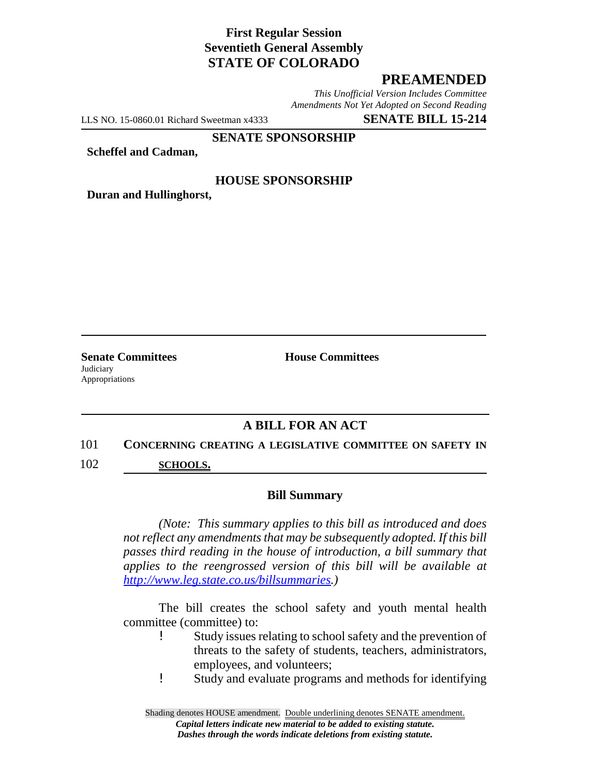# **First Regular Session Seventieth General Assembly STATE OF COLORADO**

## **PREAMENDED**

*This Unofficial Version Includes Committee Amendments Not Yet Adopted on Second Reading*

LLS NO. 15-0860.01 Richard Sweetman x4333 **SENATE BILL 15-214**

#### **SENATE SPONSORSHIP**

**Scheffel and Cadman,**

#### **HOUSE SPONSORSHIP**

**Duran and Hullinghorst,**

**Judiciary** Appropriations

**Senate Committees House Committees** 

# **A BILL FOR AN ACT**

#### 101 **CONCERNING CREATING A LEGISLATIVE COMMITTEE ON SAFETY IN**

102 **SCHOOLS.**

#### **Bill Summary**

*(Note: This summary applies to this bill as introduced and does not reflect any amendments that may be subsequently adopted. If this bill passes third reading in the house of introduction, a bill summary that applies to the reengrossed version of this bill will be available at http://www.leg.state.co.us/billsummaries.)*

The bill creates the school safety and youth mental health committee (committee) to:

- ! Study issues relating to school safety and the prevention of threats to the safety of students, teachers, administrators, employees, and volunteers;
- ! Study and evaluate programs and methods for identifying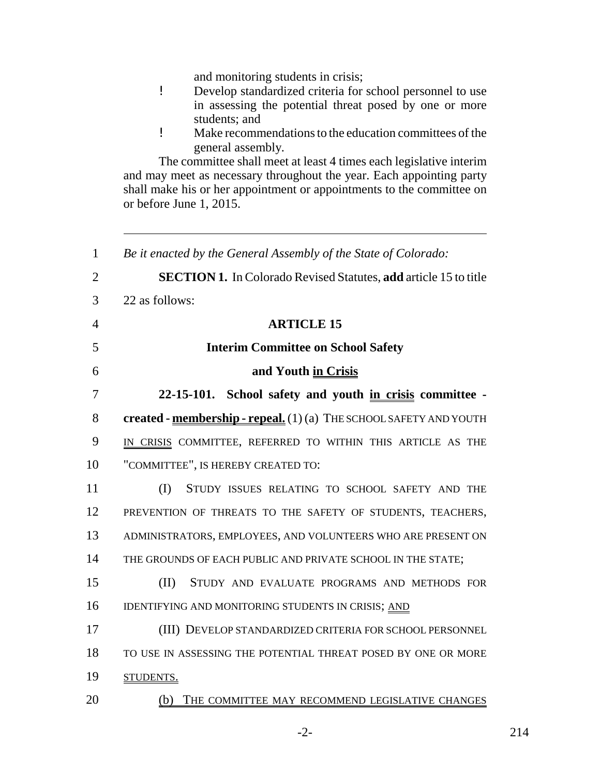and monitoring students in crisis;

- ! Develop standardized criteria for school personnel to use in assessing the potential threat posed by one or more students; and
- ! Make recommendations to the education committees of the general assembly.

The committee shall meet at least 4 times each legislative interim and may meet as necessary throughout the year. Each appointing party shall make his or her appointment or appointments to the committee on or before June 1, 2015.

 *Be it enacted by the General Assembly of the State of Colorado:* **SECTION 1.** In Colorado Revised Statutes, **add** article 15 to title 22 as follows: **ARTICLE 15 Interim Committee on School Safety and Youth in Crisis 22-15-101. School safety and youth in crisis committee - created - membership - repeal.** (1) (a) THE SCHOOL SAFETY AND YOUTH IN CRISIS COMMITTEE, REFERRED TO WITHIN THIS ARTICLE AS THE "COMMITTEE", IS HEREBY CREATED TO: (I) STUDY ISSUES RELATING TO SCHOOL SAFETY AND THE 12 PREVENTION OF THREATS TO THE SAFETY OF STUDENTS, TEACHERS, ADMINISTRATORS, EMPLOYEES, AND VOLUNTEERS WHO ARE PRESENT ON 14 THE GROUNDS OF EACH PUBLIC AND PRIVATE SCHOOL IN THE STATE; (II) STUDY AND EVALUATE PROGRAMS AND METHODS FOR 16 IDENTIFYING AND MONITORING STUDENTS IN CRISIS; AND (III) DEVELOP STANDARDIZED CRITERIA FOR SCHOOL PERSONNEL TO USE IN ASSESSING THE POTENTIAL THREAT POSED BY ONE OR MORE 19 STUDENTS. (b) THE COMMITTEE MAY RECOMMEND LEGISLATIVE CHANGES

 $-2-$  214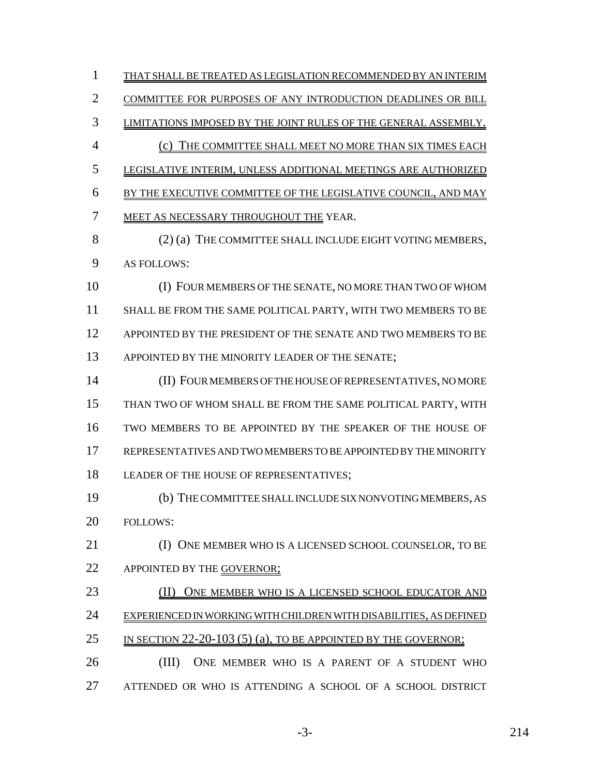THAT SHALL BE TREATED AS LEGISLATION RECOMMENDED BY AN INTERIM COMMITTEE FOR PURPOSES OF ANY INTRODUCTION DEADLINES OR BILL LIMITATIONS IMPOSED BY THE JOINT RULES OF THE GENERAL ASSEMBLY. (c) THE COMMITTEE SHALL MEET NO MORE THAN SIX TIMES EACH LEGISLATIVE INTERIM, UNLESS ADDITIONAL MEETINGS ARE AUTHORIZED BY THE EXECUTIVE COMMITTEE OF THE LEGISLATIVE COUNCIL, AND MAY MEET AS NECESSARY THROUGHOUT THE YEAR. 8 (2) (a) THE COMMITTEE SHALL INCLUDE EIGHT VOTING MEMBERS, AS FOLLOWS: (I) FOUR MEMBERS OF THE SENATE, NO MORE THAN TWO OF WHOM SHALL BE FROM THE SAME POLITICAL PARTY, WITH TWO MEMBERS TO BE APPOINTED BY THE PRESIDENT OF THE SENATE AND TWO MEMBERS TO BE 13 APPOINTED BY THE MINORITY LEADER OF THE SENATE; (II) FOUR MEMBERS OF THE HOUSE OF REPRESENTATIVES, NO MORE THAN TWO OF WHOM SHALL BE FROM THE SAME POLITICAL PARTY, WITH TWO MEMBERS TO BE APPOINTED BY THE SPEAKER OF THE HOUSE OF REPRESENTATIVES AND TWO MEMBERS TO BE APPOINTED BY THE MINORITY LEADER OF THE HOUSE OF REPRESENTATIVES; (b) THE COMMITTEE SHALL INCLUDE SIX NONVOTING MEMBERS, AS FOLLOWS: (I) ONE MEMBER WHO IS A LICENSED SCHOOL COUNSELOR, TO BE 22 APPOINTED BY THE GOVERNOR; 23 (II) ONE MEMBER WHO IS A LICENSED SCHOOL EDUCATOR AND EXPERIENCED IN WORKING WITH CHILDREN WITH DISABILITIES, AS DEFINED 25 IN SECTION 22-20-103 (5) (a), TO BE APPOINTED BY THE GOVERNOR; (III) ONE MEMBER WHO IS A PARENT OF A STUDENT WHO ATTENDED OR WHO IS ATTENDING A SCHOOL OF A SCHOOL DISTRICT

-3- 214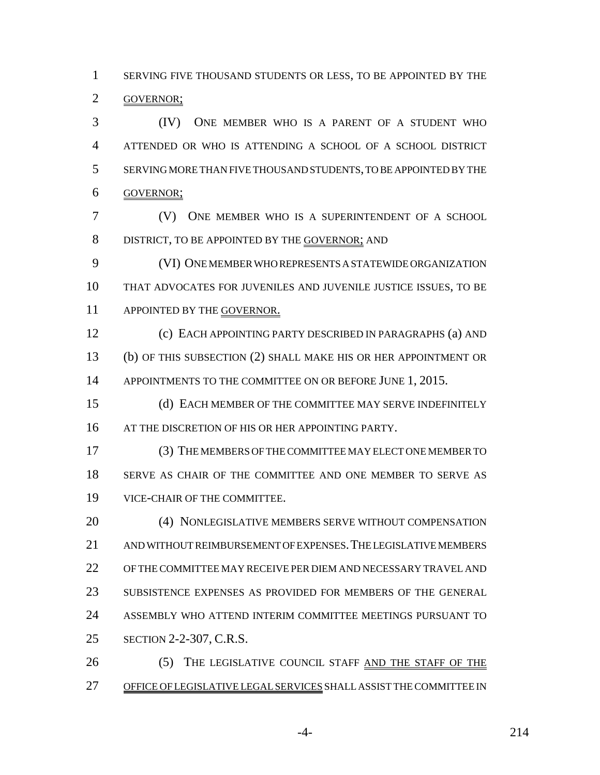SERVING FIVE THOUSAND STUDENTS OR LESS, TO BE APPOINTED BY THE GOVERNOR;

 (IV) ONE MEMBER WHO IS A PARENT OF A STUDENT WHO ATTENDED OR WHO IS ATTENDING A SCHOOL OF A SCHOOL DISTRICT SERVING MORE THAN FIVE THOUSAND STUDENTS, TO BE APPOINTED BY THE GOVERNOR;

 (V) ONE MEMBER WHO IS A SUPERINTENDENT OF A SCHOOL 8 DISTRICT, TO BE APPOINTED BY THE GOVERNOR; AND

 (VI) ONE MEMBER WHO REPRESENTS A STATEWIDE ORGANIZATION THAT ADVOCATES FOR JUVENILES AND JUVENILE JUSTICE ISSUES, TO BE 11 APPOINTED BY THE GOVERNOR.

 (c) EACH APPOINTING PARTY DESCRIBED IN PARAGRAPHS (a) AND (b) OF THIS SUBSECTION (2) SHALL MAKE HIS OR HER APPOINTMENT OR 14 APPOINTMENTS TO THE COMMITTEE ON OR BEFORE JUNE 1, 2015.

 (d) EACH MEMBER OF THE COMMITTEE MAY SERVE INDEFINITELY 16 AT THE DISCRETION OF HIS OR HER APPOINTING PARTY.

 (3) THE MEMBERS OF THE COMMITTEE MAY ELECT ONE MEMBER TO SERVE AS CHAIR OF THE COMMITTEE AND ONE MEMBER TO SERVE AS VICE-CHAIR OF THE COMMITTEE.

20 (4) NONLEGISLATIVE MEMBERS SERVE WITHOUT COMPENSATION AND WITHOUT REIMBURSEMENT OF EXPENSES.THE LEGISLATIVE MEMBERS OF THE COMMITTEE MAY RECEIVE PER DIEM AND NECESSARY TRAVEL AND SUBSISTENCE EXPENSES AS PROVIDED FOR MEMBERS OF THE GENERAL ASSEMBLY WHO ATTEND INTERIM COMMITTEE MEETINGS PURSUANT TO SECTION 2-2-307, C.R.S.

 (5) THE LEGISLATIVE COUNCIL STAFF AND THE STAFF OF THE OFFICE OF LEGISLATIVE LEGAL SERVICES SHALL ASSIST THE COMMITTEE IN

-4- 214